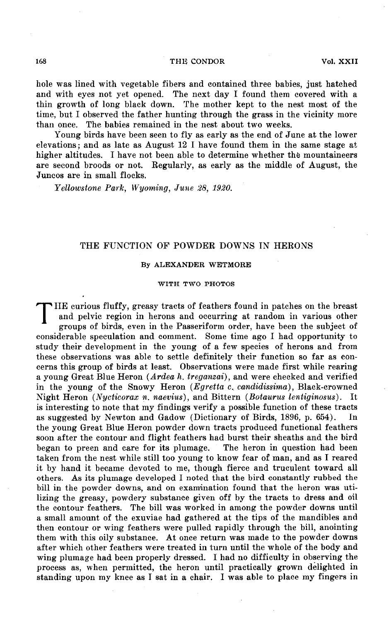#### **168 THE CONDOR Vol. XXII**

**hole was lined with vegetable fibers and contained three babies, just hatched and with eyes not yet opened. The next day I found them covered with a thin growth of long black down. The mother kept to the nest most of the time, but I observed the father hunting through the grass in the vicinity more than once. The babies remained in the nest about two weeks.** 

**Young birds have been seen to fly as early as the end of June at the lower elevations ; and as late as August 12 I have found them in the same stage at higher altitudes. I have not been able to determine whether the mountaineers are second broods or not. Regularly, as early as the middle of August, the Juncos are in small flocks.** 

**Yellowstone Park, Wyowhg, Juue 26, 19.20.** 

## **THE FUNCTION OF POWDER DOWNS TN HERONS**

# **By ALEXANDER WETMORE**

#### **WITH TWO PHOTOS**

**T IIE curious fluffy, greasy tracts of feathers found in patches on the breast and pelvic region in herons and occurring at random in various other groups of birds, even in the Passeriform order, have been the subject of considerable speculation and comment. Some time ago I had opportunity to study their development in the young of a few species of herons and from these observations was able to settle definitely their function so far as concerns this group of birds at least. Observations were made first while rearing a young Great Blue Heron (Ardea h. treganzai), and were checked and verified**  in the young of the Snowy Heron (*Egretta c. candidissima*), Black-crowned Night Heron (Nycticorax n. naevius), and Bittern (Botaurus lentiginosus). It **is interesting to note that my findings verify a possible function of these tracts as suggested by Newton and Gadow (Dictionary of Birds, 1896, p. 654). In the young Great Blue Heron powder down tracts produced functional feathers soon after the contour and flight feathers had burst their sheaths and the bird began to preen and care for its plumage. The heron in question had been taken from the nest while still too young to know fear of man, and as I reared it by hand it became devoted to me, though fierce and truculent toward all others. As its plumage developed I noted that the bird constantly rubbed the bill in the powder downs, and on examination found that the heron was utilizing the greasy, powdery substance given off by the tracts to dress and oil the contour feathers. The bill was worked in among the powder downs until a small amount of the exuviae had gathered at the tips of the mandibles and then contour or wing feathers were pulled rapidly through the bill, anointing them with this oily substance. At once return was made to the powder downs after which other feathers were treated in turn until the whole of the body and wing plumage had been properly dressed. I had no difficulty in observing the process as, when permitted, the heron until practically grown delighted in standing upon my knee as I sat in a chair. I was able to place my fingers in**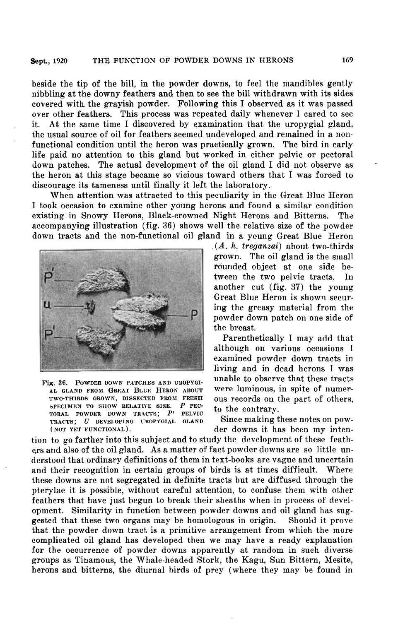**beside the tip of the bill, in the powder downs, to feel the mandibles gently nibbling at the downy feathers and then to see the bill withdrawn with its sides covered with the grayish powder. Following this I observed as it was passed over other feathers. This process was repeated daily whenever I cared to see it. At the same time I discovered by examination that the uropygial gland, the usual source of oil for feathers seemed undeveloped and remained in a nonfunctional condition until the heron was practically grown. The bird in early life paid no attention to this gland but worked in either pelvic or pectoral down patches. The actual development of the oil gland I did not observe as the heron at this stage became so vicious toward others that I was forced to discourage its tameness until finally it left the laboratory.** 

**When attention was attracted to this peculiarity in the Great Blue Heron I took occasion to examine other young herons and found a similar condition existing in Snowy Herons, Black-crowned Night Herons and Bitterns. The accompanying illustration (fig. 36) shows well the relative size of the powder down tracts and the non-functional oil gland in a ycung Great Blue Heron** 



AL GLAND FROM GREAT BLUE HERON ABOUT **TWO-THIRDS GROWN, DISSECTED FBQM FRESH P PEC-SPECIMEN TO SHOW RELATIVE SIZE.**  SPECIMEN TO SHOW BELATIVE SIZE. P PEC-<br>TOBAL POWDER DOWN TRACTS; P' PELVIC<br>TRACTS: *II* DEVELOPING UROPYGIAL GLAND Since making these notes on pow-**TRACTS: U DEVELOPING UROPYGIAL GLAND** (NOT YET FUNCTIONAL). *der downs it has been my inten-*

**.(a. h. treganzai) about two-thirds grown. The oil gland is the small rounded object at one side between the two pelvic tracts. In another cut (fig. 37) the young Great Blue Heron is shown secur**ing the greasy material from the **powder down patch on one side of the breast.** 

**Parenthetically I may add that although on various occasions I ~ examined powder down tracts in 1 living and in dead herons I was Fig. 36. POWDER DOWN PATCHES AND UROPYGI- unable to observe that these tracts ALL OLAND FROM GREAT BLOE HERON ABOUT Were luminous, in spite of numerous records on the part of others,** 

**tion to go farther into this subject and to study the development of these feathers and also of the oil gland. As a matter of fact powder downs are so little understood that ordinary definitions of them in text-books are vague and uncertain and their recognition in certain groups of birds is at times difficult. Where these downs are not segregated in definite tracts but are diffused through the pterylae it is possible, without careful attention, to confuse them with other feathers that have just begun to break their sheaths when in process of development. Similarity in function between powder downs and oil gland has suggested that these two organs may be homologous in origin. Should it prove that the powder down tract is a primitive arrangement from which the more complicated oil gland has developed then we may have a ready explanation for the occurrence of powder downs apparently at random in such diverse groups as Tinamous, the Whale-headed Stork, the Kagu, Sun Bittern, Mesite, herons and bitterns, the diurnal birds of prey (where they may be found in** 

**.**